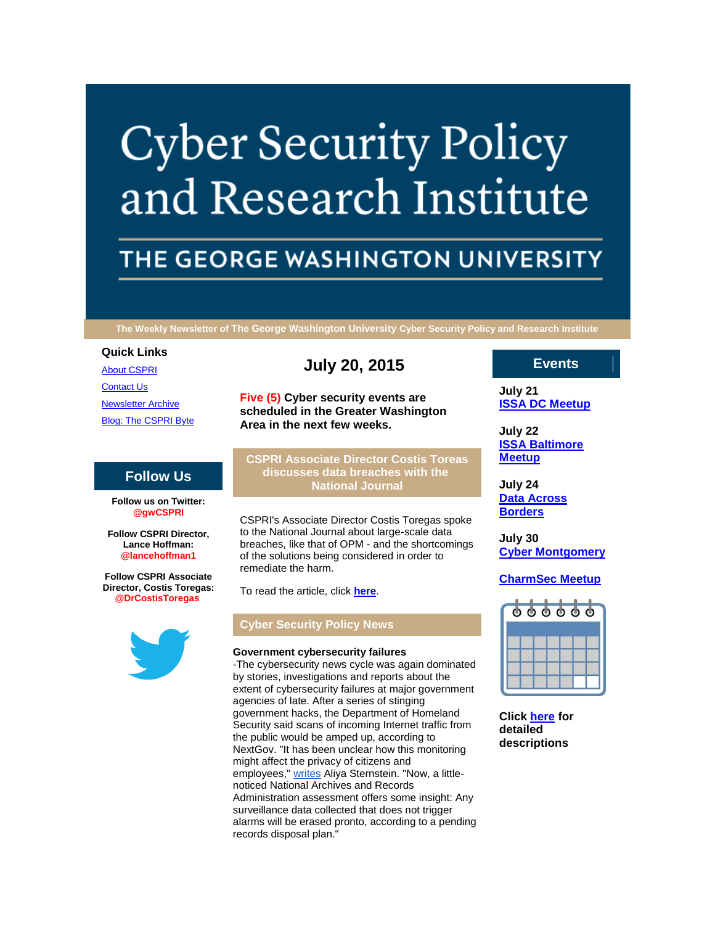# **Cyber Security Policy** and Research Institute

## THE GEORGE WASHINGTON UNIVERSITY

**The Weekly Newsletter of The George Washington University Cyber Security Policy and Research Institute**

#### **Quick Links**

[About CSPRI](http://r20.rs6.net/tn.jsp?f=001Qtd3QB8LKqRulmb7I12HrKmNC_Pjlci-uFb-ZZ0MOJyNQM_bjO7Dkzl3vT-7nGZCCW2f7HWQJLo-UQlIFisJZAO2c_q5xaoDSerR0zn3dfHa-XQb-ONsQy67Fq_Nhby6AimkxUmB3fn2-TH6-8ygGyVZ6_fezm9B6e2TeAOXA7kPLbv6uaVSuRArwe9_UkJq&c=ltNoosgLy1-nRw8-Y6wVu0Wtvg_Og-pvKIEePgZ2IPtnGSRm3sHEdA==&ch=b9T4SYpCjlkDh9EHALvq_K1TXfP-hEfmtJxfqpTXI-50w345xZlUxg==) **[Contact Us](http://r20.rs6.net/tn.jsp?f=001Qtd3QB8LKqRulmb7I12HrKmNC_Pjlci-uFb-ZZ0MOJyNQM_bjO7Dkzl3vT-7nGZCgxXvxt6nCu-2MNPKVhNEnl-KQyCpRppub7YVYFISsrL4s7xik1P1U-aOlzWJwf87Rya5kRxyM5gkc68iuW8SdR-b59IcJNxYoIc1rhuPJYzbREmGDWZtdumWdL11tWvMDU7GTAf-_WM=&c=ltNoosgLy1-nRw8-Y6wVu0Wtvg_Og-pvKIEePgZ2IPtnGSRm3sHEdA==&ch=b9T4SYpCjlkDh9EHALvq_K1TXfP-hEfmtJxfqpTXI-50w345xZlUxg==)** [Newsletter Archive](http://r20.rs6.net/tn.jsp?f=001Qtd3QB8LKqRulmb7I12HrKmNC_Pjlci-uFb-ZZ0MOJyNQM_bjO7Dkzl3vT-7nGZCCHPwj_6WdY3RMlQzCArRxBsODBcJSGKFTAbMjB2F_pCOwz6Ok48qIGbG438wUglfZSv5j5ciuTl9Qi4tn_FZCh5b8vsAC5ZecLhPmc0Q9lC4Uqj8Dyxwih4pfO5hF8f8XIXyi2zA5Vw=&c=ltNoosgLy1-nRw8-Y6wVu0Wtvg_Og-pvKIEePgZ2IPtnGSRm3sHEdA==&ch=b9T4SYpCjlkDh9EHALvq_K1TXfP-hEfmtJxfqpTXI-50w345xZlUxg==) [Blog: The CSPRI Byte](http://r20.rs6.net/tn.jsp?f=001Qtd3QB8LKqRulmb7I12HrKmNC_Pjlci-uFb-ZZ0MOJyNQM_bjO7Dkzl3vT-7nGZCi5sGnqLTuPMDOtO4yCK7HhLb0wZrGRXReajNQczeDyjrABPKe3HqadSdIhfEDFlzoXlJ5HPNjU9Lia1qMoXr4nP9nChbR0veCwOsuwtjmcGYCR5nR1w2DIK085c0bCQ4&c=ltNoosgLy1-nRw8-Y6wVu0Wtvg_Og-pvKIEePgZ2IPtnGSRm3sHEdA==&ch=b9T4SYpCjlkDh9EHALvq_K1TXfP-hEfmtJxfqpTXI-50w345xZlUxg==)

**Follow Us**

**Follow us on Twitter: @gwCSPRI Follow CSPRI Director, Lance Hoffman: @lancehoffman1 Follow CSPRI Associate Director, Costis Toregas: @DrCostisToregas**

### **July 20, 2015**

**Five (5) Cyber security events are scheduled in the Greater Washington Area in the next few weeks.**

**CSPRI Associate Director Costis Toreas discusses data breaches with the National Journal**

CSPRI's Associate Director Costis Toregas spoke to the National Journal about large-scale data breaches, like that of OPM - and the shortcomings of the solutions being considered in order to remediate the harm.

To read the article, click **[here](http://r20.rs6.net/tn.jsp?f=001Qtd3QB8LKqRulmb7I12HrKmNC_Pjlci-uFb-ZZ0MOJyNQM_bjO7DkyM5PAQPzLZ5nv6WQUbrcPZDOmmmqkgsrhIWPlTOc-txbp9sHzAAecq14Ja93_vo5Bl9TUTfZuAY-aLjKYiRt-cksivvkiuxhQGvaQXpqdJZldWaAL3f1anGjmLi5f-JVITo8qOpkKGnEFIIcOfO8AoNFKfP5nCm4EsWkBM56JKQXdppuvIiPzl_rrZ-9-WvvTQX6jHDJS70vV_TEp2vU4k=&c=ltNoosgLy1-nRw8-Y6wVu0Wtvg_Og-pvKIEePgZ2IPtnGSRm3sHEdA==&ch=b9T4SYpCjlkDh9EHALvq_K1TXfP-hEfmtJxfqpTXI-50w345xZlUxg==)**.

#### **Cyber Security Policy News**

#### **Government cybersecurity failures**

-The cybersecurity news cycle was again dominated by stories, investigations and reports about the extent of cybersecurity failures at major government agencies of late. After a series of stinging government hacks, the Department of Homeland Security said scans of incoming Internet traffic from the public would be amped up, according to NextGov. "It has been unclear how this monitoring might affect the privacy of citizens and employees," [writes](http://r20.rs6.net/tn.jsp?f=001Qtd3QB8LKqRulmb7I12HrKmNC_Pjlci-uFb-ZZ0MOJyNQM_bjO7DkyM5PAQPzLZ58X5AECEAGUJYQsMLDFK9UnuwgUo_vYebY31Aqyl2HIMUmWjAcAb6eQq6B2biyWEWiN6rTioviQ6KqYNbh7ZqqOJfsBYaWELwLKfS4SuVfi_yIp0A449d0CYrbEqERwS1sn5-qtL6HqVzns2-fZU5jEY9-wbe8w1-jigtlgvv-_jubB_XHK9Yx7YaN7ZjvGJaTAy5M6HnlxjHBnsIgnZxh2nxgpwR4dzYvDnJU9oqrmIIuHtJRMZk3-lOmCgZRUwm5xAxsffFVcasj37R3B4ykw==&c=ltNoosgLy1-nRw8-Y6wVu0Wtvg_Og-pvKIEePgZ2IPtnGSRm3sHEdA==&ch=b9T4SYpCjlkDh9EHALvq_K1TXfP-hEfmtJxfqpTXI-50w345xZlUxg==) Aliya Sternstein. "Now, a littlenoticed National Archives and Records Administration assessment offers some insight: Any surveillance data collected that does not trigger alarms will be erased pronto, according to a pending records disposal plan."

#### **Events**

**July 21 [ISSA DC Meetup](http://r20.rs6.net/tn.jsp?f=001Qtd3QB8LKqRulmb7I12HrKmNC_Pjlci-uFb-ZZ0MOJyNQM_bjO7Dk4qHc43v_HaZpM-ZVeGFoSLjQwFBpXnW-gxI3plS0HaZEUVxULLfBjiRBoH6KaXj71AkEvNF7e9Lqd1fn4doH7d9v51e9sV3ymkIXkHnWAGZ9Q5mrQMjABUIBzQXQ0IXXTmrrdp9L556wB07E-5t9qU=&c=ltNoosgLy1-nRw8-Y6wVu0Wtvg_Og-pvKIEePgZ2IPtnGSRm3sHEdA==&ch=b9T4SYpCjlkDh9EHALvq_K1TXfP-hEfmtJxfqpTXI-50w345xZlUxg==)**

**July 22 [ISSA Baltimore](http://r20.rs6.net/tn.jsp?f=001Qtd3QB8LKqRulmb7I12HrKmNC_Pjlci-uFb-ZZ0MOJyNQM_bjO7Dk4qHc43v_HaZpM-ZVeGFoSLjQwFBpXnW-gxI3plS0HaZEUVxULLfBjiRBoH6KaXj71AkEvNF7e9Lqd1fn4doH7d9v51e9sV3ymkIXkHnWAGZ9Q5mrQMjABUIBzQXQ0IXXTmrrdp9L556wB07E-5t9qU=&c=ltNoosgLy1-nRw8-Y6wVu0Wtvg_Og-pvKIEePgZ2IPtnGSRm3sHEdA==&ch=b9T4SYpCjlkDh9EHALvq_K1TXfP-hEfmtJxfqpTXI-50w345xZlUxg==)  [Meetup](http://r20.rs6.net/tn.jsp?f=001Qtd3QB8LKqRulmb7I12HrKmNC_Pjlci-uFb-ZZ0MOJyNQM_bjO7Dk4qHc43v_HaZpM-ZVeGFoSLjQwFBpXnW-gxI3plS0HaZEUVxULLfBjiRBoH6KaXj71AkEvNF7e9Lqd1fn4doH7d9v51e9sV3ymkIXkHnWAGZ9Q5mrQMjABUIBzQXQ0IXXTmrrdp9L556wB07E-5t9qU=&c=ltNoosgLy1-nRw8-Y6wVu0Wtvg_Og-pvKIEePgZ2IPtnGSRm3sHEdA==&ch=b9T4SYpCjlkDh9EHALvq_K1TXfP-hEfmtJxfqpTXI-50w345xZlUxg==)**

**July 24 [Data Across](http://r20.rs6.net/tn.jsp?f=001Qtd3QB8LKqRulmb7I12HrKmNC_Pjlci-uFb-ZZ0MOJyNQM_bjO7Dk4qHc43v_HaZpM-ZVeGFoSLjQwFBpXnW-gxI3plS0HaZEUVxULLfBjiRBoH6KaXj71AkEvNF7e9Lqd1fn4doH7d9v51e9sV3ymkIXkHnWAGZ9Q5mrQMjABUIBzQXQ0IXXTmrrdp9L556wB07E-5t9qU=&c=ltNoosgLy1-nRw8-Y6wVu0Wtvg_Og-pvKIEePgZ2IPtnGSRm3sHEdA==&ch=b9T4SYpCjlkDh9EHALvq_K1TXfP-hEfmtJxfqpTXI-50w345xZlUxg==)  [Borders](http://r20.rs6.net/tn.jsp?f=001Qtd3QB8LKqRulmb7I12HrKmNC_Pjlci-uFb-ZZ0MOJyNQM_bjO7Dk4qHc43v_HaZpM-ZVeGFoSLjQwFBpXnW-gxI3plS0HaZEUVxULLfBjiRBoH6KaXj71AkEvNF7e9Lqd1fn4doH7d9v51e9sV3ymkIXkHnWAGZ9Q5mrQMjABUIBzQXQ0IXXTmrrdp9L556wB07E-5t9qU=&c=ltNoosgLy1-nRw8-Y6wVu0Wtvg_Og-pvKIEePgZ2IPtnGSRm3sHEdA==&ch=b9T4SYpCjlkDh9EHALvq_K1TXfP-hEfmtJxfqpTXI-50w345xZlUxg==)**

**July 30 [Cyber Montgomery](http://r20.rs6.net/tn.jsp?f=001Qtd3QB8LKqRulmb7I12HrKmNC_Pjlci-uFb-ZZ0MOJyNQM_bjO7Dk4qHc43v_HaZpM-ZVeGFoSLjQwFBpXnW-gxI3plS0HaZEUVxULLfBjiRBoH6KaXj71AkEvNF7e9Lqd1fn4doH7d9v51e9sV3ymkIXkHnWAGZ9Q5mrQMjABUIBzQXQ0IXXTmrrdp9L556wB07E-5t9qU=&c=ltNoosgLy1-nRw8-Y6wVu0Wtvg_Og-pvKIEePgZ2IPtnGSRm3sHEdA==&ch=b9T4SYpCjlkDh9EHALvq_K1TXfP-hEfmtJxfqpTXI-50w345xZlUxg==)**

#### **[CharmSec Meetup](http://r20.rs6.net/tn.jsp?f=001Qtd3QB8LKqRulmb7I12HrKmNC_Pjlci-uFb-ZZ0MOJyNQM_bjO7Dk4qHc43v_HaZpM-ZVeGFoSLjQwFBpXnW-gxI3plS0HaZEUVxULLfBjiRBoH6KaXj71AkEvNF7e9Lqd1fn4doH7d9v51e9sV3ymkIXkHnWAGZ9Q5mrQMjABUIBzQXQ0IXXTmrrdp9L556wB07E-5t9qU=&c=ltNoosgLy1-nRw8-Y6wVu0Wtvg_Og-pvKIEePgZ2IPtnGSRm3sHEdA==&ch=b9T4SYpCjlkDh9EHALvq_K1TXfP-hEfmtJxfqpTXI-50w345xZlUxg==)**



**Click [here](http://r20.rs6.net/tn.jsp?f=001Qtd3QB8LKqRulmb7I12HrKmNC_Pjlci-uFb-ZZ0MOJyNQM_bjO7Dkzl3vT-7nGZCcGo7ij8lwH6IcYA3AFlIW82Yp5Cf4Hu9UtslaJWC8cVcmR0guq-cnOxNZx2lE4VgB2fYvnhuAgVlShZYVca-CPXIEeOIpNgNrQDP-I3TQ-SJEIBNtimqsW-GsPYbzSURIpBXrCkTCMWUrRckl2x1IQ==&c=ltNoosgLy1-nRw8-Y6wVu0Wtvg_Og-pvKIEePgZ2IPtnGSRm3sHEdA==&ch=b9T4SYpCjlkDh9EHALvq_K1TXfP-hEfmtJxfqpTXI-50w345xZlUxg==) for detailed descriptions**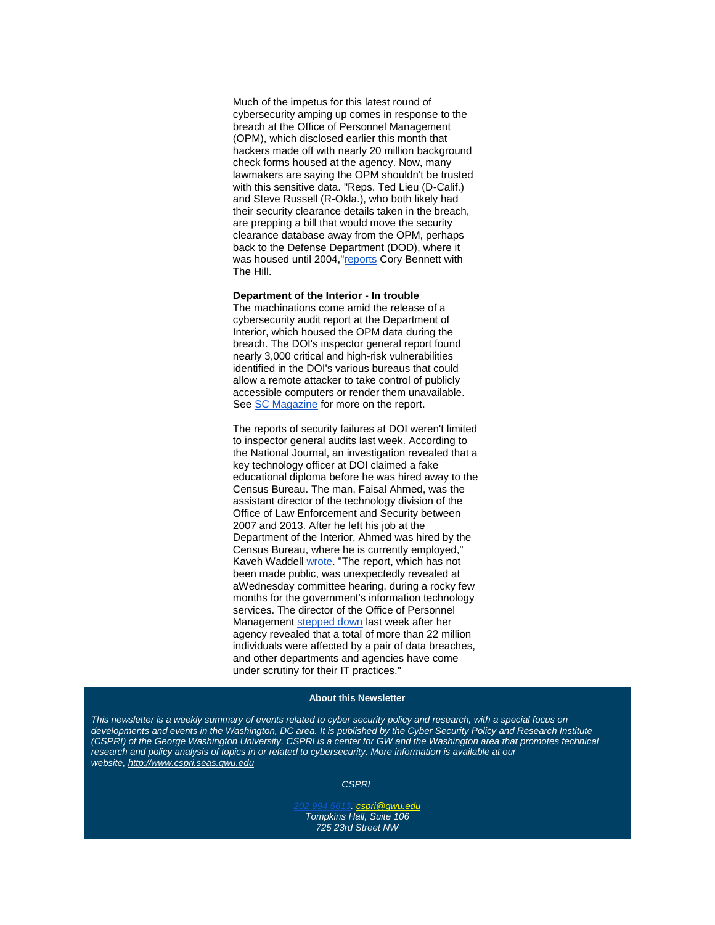Much of the impetus for this latest round of cybersecurity amping up comes in response to the breach at the Office of Personnel Management (OPM), which disclosed earlier this month that hackers made off with [nearly 20 million](http://r20.rs6.net/tn.jsp?f=001Qtd3QB8LKqRulmb7I12HrKmNC_Pjlci-uFb-ZZ0MOJyNQM_bjO7Dk1i3AtrjSyhniGYvCDvPV73HiePeMy7g3VlYWSWH2NkVsp0_-ry3LG7PddfVXYcwIoKuRYTGw65YO5_7O7qzhz-hwaw6qMiY2sGHIub5dYLOgGXXZ3462JHA69dZg2VWvG035d_5loU_nd3Vxf6_D34LoaFgis51YZbC6Z8pp4Ztgr7dyMQ0nvdXbFhSLYYrpZ6PCH53JZWU-5Y_aQJb7NQ=&c=ltNoosgLy1-nRw8-Y6wVu0Wtvg_Og-pvKIEePgZ2IPtnGSRm3sHEdA==&ch=b9T4SYpCjlkDh9EHALvq_K1TXfP-hEfmtJxfqpTXI-50w345xZlUxg==) background check forms housed at the agency. Now, many lawmakers are saying the OPM shouldn't be trusted with this sensitive data. "Reps. Ted Lieu (D-Calif.) and Steve Russell (R-Okla.), who both likely had their security clearance details taken in the breach, are prepping a bill that would move the security clearance database away from the OPM, perhaps back to the Defense Department (DOD), where it was housed until 2004,["reports](http://r20.rs6.net/tn.jsp?f=001Qtd3QB8LKqRulmb7I12HrKmNC_Pjlci-uFb-ZZ0MOJyNQM_bjO7Dk1i3AtrjSyhneGoJvPyM2XMQvxNFyGWoBbfhIMOImE79dBEKEtF01s96_C7ZbXuQ9HO0l7YFMnL08S-OtVxaYqLXsoGSp1xxgwT7j3F38DD9P352sZEFUnAmxu1q2I_YrJLfNHy9zkaQVZrSQ_AqZU2o2v-zg5lmEJp7pY8siH-n4FYVtoudDsulIHNgDVJO8OloI3UQWaacRaa-tgUQzvU=&c=ltNoosgLy1-nRw8-Y6wVu0Wtvg_Og-pvKIEePgZ2IPtnGSRm3sHEdA==&ch=b9T4SYpCjlkDh9EHALvq_K1TXfP-hEfmtJxfqpTXI-50w345xZlUxg==) Cory Bennett with The Hill.

#### **Department of the Interior - In trouble**

The machinations come amid the release of a cybersecurity audit report at the Department of Interior, which housed the OPM data during the breach. The DOI's inspector general report found nearly 3,000 critical and high-risk vulnerabilities identified in the DOI's various bureaus that could allow a remote attacker to take control of publicly accessible computers or render them unavailable. See [SC Magazine](http://r20.rs6.net/tn.jsp?f=001Qtd3QB8LKqRulmb7I12HrKmNC_Pjlci-uFb-ZZ0MOJyNQM_bjO7DkyM5PAQPzLZ5chQCgJ62WA9gEiIZnhMKp65l_5VlyqlIz23b0nuQiPPwXW8dv4NJqhr_vl8ICnyr5pEPRg-KEVc_EKvWsc-hmQmoZCRf59STbPBEH6jEj9ANU82DfE0EW8s4diNw7F3vMIyBIFHsnJPurnLrzeccIyP3f-BsecBBTXoojGa0FKIjM0RED8B8TkWaI-uUWZrEYomeQU2smMvz6mXUHnNxIaa_yCAJ68TkX8K9v-8qYjQ=&c=ltNoosgLy1-nRw8-Y6wVu0Wtvg_Og-pvKIEePgZ2IPtnGSRm3sHEdA==&ch=b9T4SYpCjlkDh9EHALvq_K1TXfP-hEfmtJxfqpTXI-50w345xZlUxg==) for more on the report.

The reports of security failures at DOI weren't limited to inspector general audits last week. According to the National Journal, an investigation revealed that a key technology officer at DOI claimed a fake educational diploma before he was hired away to the Census Bureau. The man, Faisal Ahmed, was the assistant director of the technology division of the Office of Law Enforcement and Security between 2007 and 2013. After he left his job at the Department of the Interior, Ahmed was hired by the Census Bureau, where he is currently employed," Kaveh Waddell [wrote.](http://r20.rs6.net/tn.jsp?f=001Qtd3QB8LKqRulmb7I12HrKmNC_Pjlci-uFb-ZZ0MOJyNQM_bjO7DkyM5PAQPzLZ59BJuTSu3NeqQK50SNmwhODP5rhWEI67WOvGvbBWbXmqvw0ZKYVlp2GhjYkgQja1MCShUaDbSIgGKTX2Ji3c9ZyrtDvcSKr51fXJqnFpSuQi3C0HfClXqGVhB-Hs2o50kT9iBt-cNd7FQX4qYp4T33Kr0H9JLXCVXdZYlMQCrb2VErcxWUWUExDALf8t3wX6BGxT7bzRXx_-YveuZzpHlhXXwQNMncPRAFcy1lRckPX1Ay8giTHYDqyH9F8maLqMIgBC5p7oY84s=&c=ltNoosgLy1-nRw8-Y6wVu0Wtvg_Og-pvKIEePgZ2IPtnGSRm3sHEdA==&ch=b9T4SYpCjlkDh9EHALvq_K1TXfP-hEfmtJxfqpTXI-50w345xZlUxg==) "The report, which has not been made public, was unexpectedly revealed at aWednesday committee hearing, during a rocky few months for the government's information technology services. The director of the Office of Personnel Management [stepped down](http://r20.rs6.net/tn.jsp?f=001Qtd3QB8LKqRulmb7I12HrKmNC_Pjlci-uFb-ZZ0MOJyNQM_bjO7DkyM5PAQPzLZ5uYQ624C14N9-WnubkwRlfkhjTMft3sMRA_kkuiz50UOZCrK8myNcPpAfVcllWjOlB2rAMV7lLs3mSLk3K8oYLidWffFkojhSeL0LEnOuj48l7fVfRHWCEMa8ugLd0tonNq1STKvMtvoGmwaxTC0q6BWGrkd1K8jhmwIg6s9n75yD9Ffpwe8vthIg4U607o_H&c=ltNoosgLy1-nRw8-Y6wVu0Wtvg_Og-pvKIEePgZ2IPtnGSRm3sHEdA==&ch=b9T4SYpCjlkDh9EHALvq_K1TXfP-hEfmtJxfqpTXI-50w345xZlUxg==) last week after her agency revealed that a total of more than 22 million individuals were affected by a pair of data breaches, and other departments and agencies have come under scrutiny for their IT practices."

#### **About this Newsletter**

*This newsletter is a weekly summary of events related to cyber security policy and research, with a special focus on developments and events in the Washington, DC area. It is published by the Cyber Security Policy and Research Institute (CSPRI)* of the George Washington University. CSPRI is a center for GW and the Washington area that promotes technical research and policy analysis of topics in or related to cybersecurity. More information is available at our *website, [http://www.cspri.seas.gwu.edu](http://r20.rs6.net/tn.jsp?f=001Qtd3QB8LKqRulmb7I12HrKmNC_Pjlci-uFb-ZZ0MOJyNQM_bjO7Dk7-Hm_EiT8qZDlEPzyDMHMAmRZ8TqhnsrzW7ivABX8rKoDpnNpa-R0i93-2b9N8v87eMZHvs4lz7lUAWc_DV6EiXP5BqHCp6xl-2NROXqvEv3GRU8bBLNs2_EgPJ5RI1WA==&c=ltNoosgLy1-nRw8-Y6wVu0Wtvg_Og-pvKIEePgZ2IPtnGSRm3sHEdA==&ch=b9T4SYpCjlkDh9EHALvq_K1TXfP-hEfmtJxfqpTXI-50w345xZlUxg==)*

*CSPRI*

*[202 994 5613.](tel:202%20994%205613) [cspri@gwu.edu](mailto:cspri@gwu.edu) Tompkins Hall, Suite 106 725 23rd Street NW*